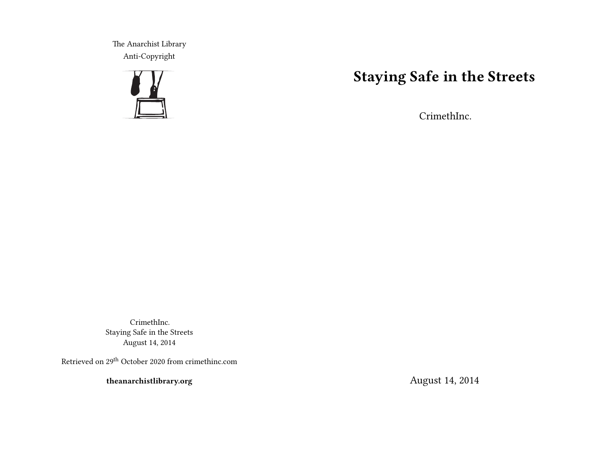The Anarchist Library Anti-Copyright



# **Staying Safe in the Streets**

CrimethInc.

CrimethInc. Staying Safe in the Streets August 14, 2014

Retrieved on 29th October 2020 from crimethinc.com

**theanarchistlibrary.org**

August 14, 2014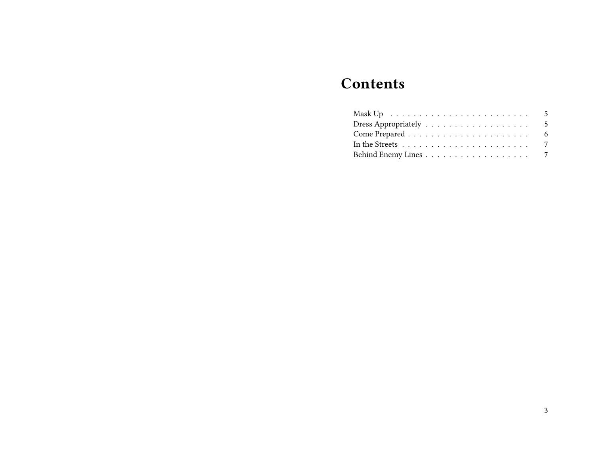# **Contents**

| Mask Up $\ldots \ldots \ldots \ldots \ldots \ldots \ldots \ldots$   |  |  |  |  |  |  |  |  |  | - 5 |
|---------------------------------------------------------------------|--|--|--|--|--|--|--|--|--|-----|
| Dress Appropriately $\dots \dots \dots \dots \dots \dots \dots$     |  |  |  |  |  |  |  |  |  | - 5 |
|                                                                     |  |  |  |  |  |  |  |  |  | - 6 |
| In the Streets $\ldots \ldots \ldots \ldots \ldots \ldots \ldots 7$ |  |  |  |  |  |  |  |  |  |     |
| Behind Enemy Lines $\ldots \ldots \ldots \ldots \ldots \ldots 7$    |  |  |  |  |  |  |  |  |  |     |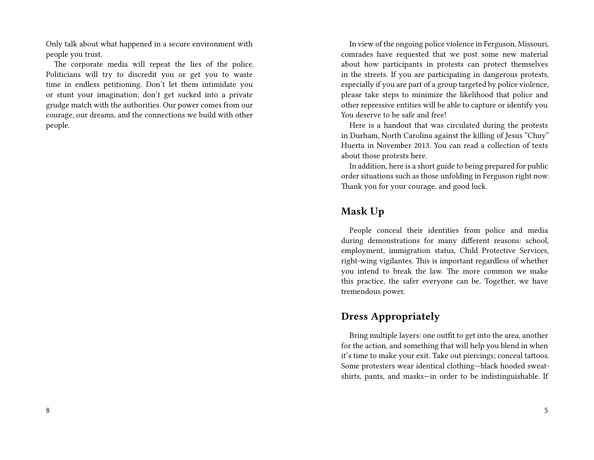Only talk about what happened in a secure environment with people you trust.

The corporate media will repeat the lies of the police. Politicians will try to discredit you or get you to waste time in endless petitioning. Don't let them intimidate you or stunt your imagination; don't get sucked into a private grudge match with the authorities. Our power comes from our courage, our dreams, and the connections we build with other people.

In view of the ongoing police violence in Ferguson, Missouri, comrades have requested that we post some new material about how participants in protests can protect themselves in the streets. If you are participating in dangerous protests, especially if you are part of a group targeted by police violence, please take steps to minimize the likelihood that police and other repressive entities will be able to capture or identify you. You deserve to be safe and free!

Here is a handout that was circulated during the protests in Durham, North Carolina against the killing of Jesus "Chuy" Huerta in November 2013. You can read a collection of texts about those protests here.

In addition, here is a short guide to being prepared for public order situations such as those unfolding in Ferguson right now. Thank you for your courage, and good luck.

## **Mask Up**

People conceal their identities from police and media during demonstrations for many different reasons: school, employment, immigration status, Child Protective Services, right-wing vigilantes. This is important regardless of whether you intend to break the law. The more common we make this practice, the safer everyone can be. Together, we have tremendous power.

### **Dress Appropriately**

Bring multiple layers: one outfit to get into the area, another for the action, and something that will help you blend in when it's time to make your exit. Take out piercings; conceal tattoos. Some protesters wear identical clothing—black hooded sweatshirts, pants, and masks—in order to be indistinguishable. If